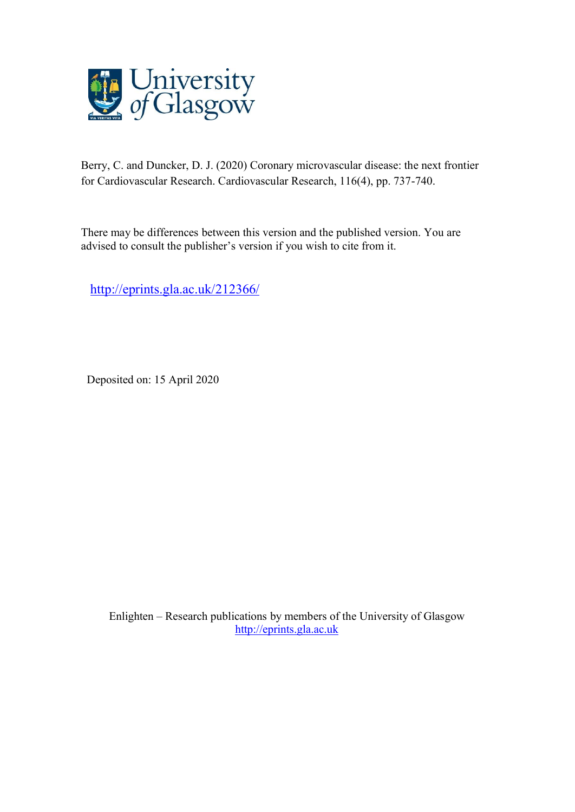

Berry, C. and Duncker, D. J. (2020) Coronary microvascular disease: the next frontier for Cardiovascular Research. Cardiovascular Research, 116(4), pp. 737-740.

There may be differences between this version and the published version. You are advised to consult the publisher's version if you wish to cite from it.

<http://eprints.gla.ac.uk/212366/>

Deposited on: 15 April 2020

Enlighten – Research publications by members of the University of Glasgow [http://eprints.gla.ac.uk](http://eprints.gla.ac.uk/)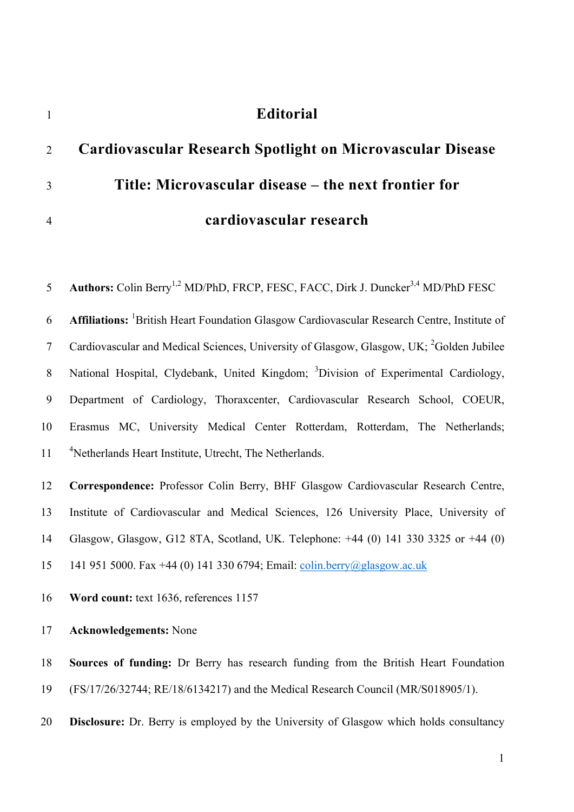# **Editorial**

|                | 2 Cardiovascular Research Spotlight on Microvascular Disease |
|----------------|--------------------------------------------------------------|
| $\mathcal{R}$  | Title: Microvascular disease – the next frontier for         |
| $\overline{4}$ | cardiovascular research                                      |

5 Authors: Colin Berry<sup>1,2</sup> MD/PhD, FRCP, FESC, FACC, Dirk J. Duncker<sup>3,4</sup> MD/PhD FESC **Affiliations:** <sup>1</sup> British Heart Foundation Glasgow Cardiovascular Research Centre, Institute of 7 Cardiovascular and Medical Sciences, University of Glasgow, Glasgow, UK;  ${}^{2}$ Golden Jubilee 8 National Hospital, Clydebank, United Kingdom; <sup>3</sup> Division of Experimental Cardiology, Department of Cardiology, Thoraxcenter, Cardiovascular Research School, COEUR, Erasmus MC, University Medical Center Rotterdam, Rotterdam, The Netherlands; <sup>4</sup> 11 <sup>4</sup> Netherlands Heart Institute, Utrecht, The Netherlands. **Correspondence:** Professor Colin Berry, BHF Glasgow Cardiovascular Research Centre, Institute of Cardiovascular and Medical Sciences, 126 University Place, University of Glasgow, Glasgow, G12 8TA, Scotland, UK. Telephone: +44 (0) 141 330 3325 or +44 (0) 141 951 5000. Fax +44 (0) 141 330 6794; Email: colin.berry@glasgow.ac.uk **Word count:** text 1636, references 1157

**Acknowledgements:** None

 **Sources of funding:** Dr Berry has research funding from the British Heart Foundation (FS/17/26/32744; RE/18/6134217) and the Medical Research Council (MR/S018905/1).

**Disclosure:** Dr. Berry is employed by the University of Glasgow which holds consultancy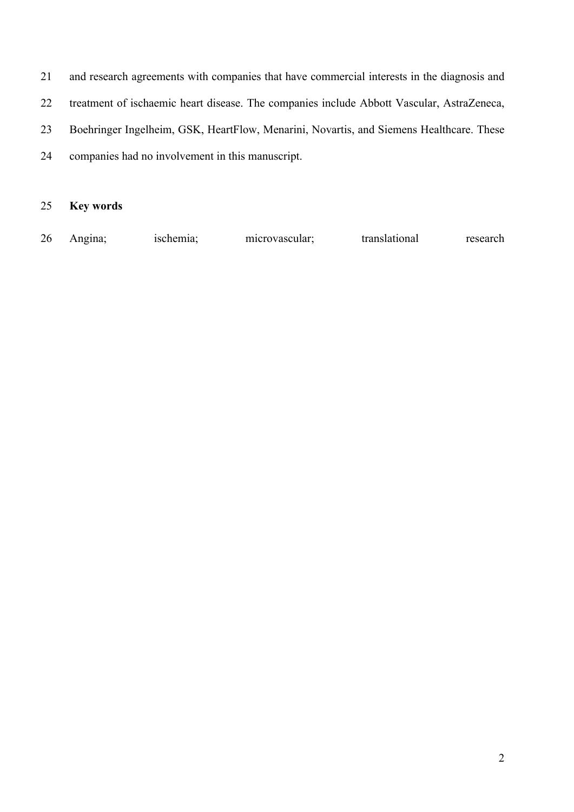and research agreements with companies that have commercial interests in the diagnosis and treatment of ischaemic heart disease. The companies include Abbott Vascular, AstraZeneca, Boehringer Ingelheim, GSK, HeartFlow, Menarini, Novartis, and Siemens Healthcare. These companies had no involvement in this manuscript.

### **Key words**

Angina; ischemia; microvascular; translational research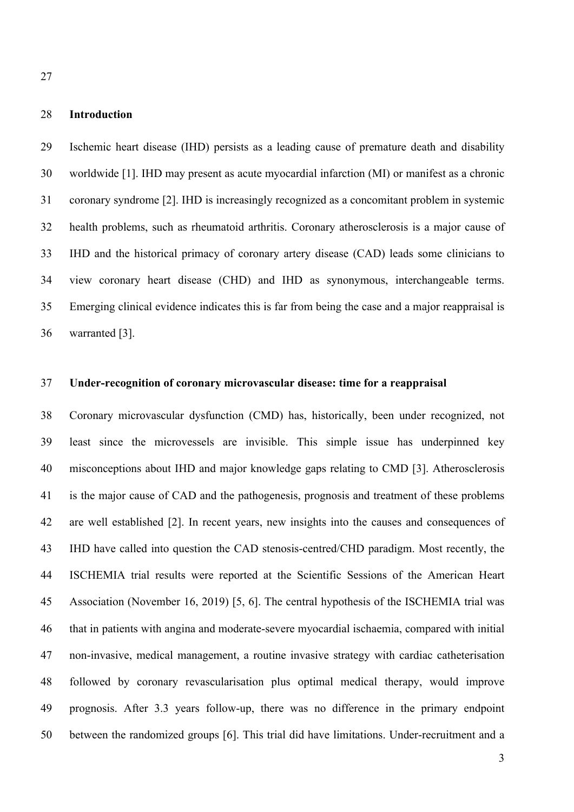#### **Introduction**

 Ischemic heart disease (IHD) persists as a leading cause of premature death and disability worldwide [1]. IHD may present as acute myocardial infarction (MI) or manifest as a chronic coronary syndrome [2]. IHD is increasingly recognized as a concomitant problem in systemic health problems, such as rheumatoid arthritis. Coronary atherosclerosis is a major cause of IHD and the historical primacy of coronary artery disease (CAD) leads some clinicians to view coronary heart disease (CHD) and IHD as synonymous, interchangeable terms. Emerging clinical evidence indicates this is far from being the case and a major reappraisal is warranted [3].

#### **Under-recognition of coronary microvascular disease: time for a reappraisal**

 Coronary microvascular dysfunction (CMD) has, historically, been under recognized, not least since the microvessels are invisible. This simple issue has underpinned key misconceptions about IHD and major knowledge gaps relating to CMD [3]. Atherosclerosis is the major cause of CAD and the pathogenesis, prognosis and treatment of these problems are well established [2]. In recent years, new insights into the causes and consequences of IHD have called into question the CAD stenosis-centred/CHD paradigm. Most recently, the ISCHEMIA trial results were reported at the Scientific Sessions of the American Heart Association (November 16, 2019) [5, 6]. The central hypothesis of the ISCHEMIA trial was that in patients with angina and moderate-severe myocardial ischaemia, compared with initial non-invasive, medical management, a routine invasive strategy with cardiac catheterisation followed by coronary revascularisation plus optimal medical therapy, would improve prognosis. After 3.3 years follow-up, there was no difference in the primary endpoint between the randomized groups [6]. This trial did have limitations. Under-recruitment and a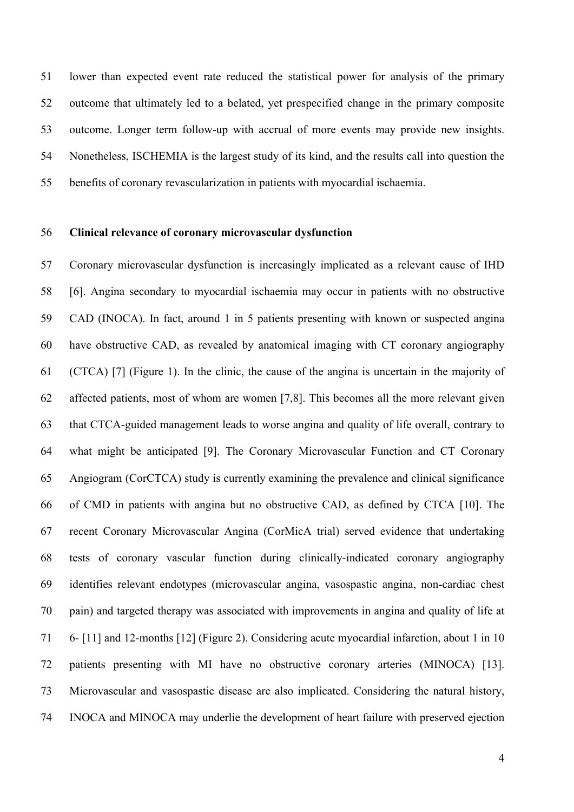lower than expected event rate reduced the statistical power for analysis of the primary outcome that ultimately led to a belated, yet prespecified change in the primary composite outcome. Longer term follow-up with accrual of more events may provide new insights. Nonetheless, ISCHEMIA is the largest study of its kind, and the results call into question the benefits of coronary revascularization in patients with myocardial ischaemia.

### **Clinical relevance of coronary microvascular dysfunction**

 Coronary microvascular dysfunction is increasingly implicated as a relevant cause of IHD [6]. Angina secondary to myocardial ischaemia may occur in patients with no obstructive CAD (INOCA). In fact, around 1 in 5 patients presenting with known or suspected angina have obstructive CAD, as revealed by anatomical imaging with CT coronary angiography (CTCA) [7] (Figure 1). In the clinic, the cause of the angina is uncertain in the majority of affected patients, most of whom are women [7,8]. This becomes all the more relevant given that CTCA-guided management leads to worse angina and quality of life overall, contrary to what might be anticipated [9]. The Coronary Microvascular Function and CT Coronary Angiogram (CorCTCA) study is currently examining the prevalence and clinical significance of CMD in patients with angina but no obstructive CAD, as defined by CTCA [10]. The recent Coronary Microvascular Angina (CorMicA trial) served evidence that undertaking tests of coronary vascular function during clinically-indicated coronary angiography identifies relevant endotypes (microvascular angina, vasospastic angina, non-cardiac chest pain) and targeted therapy was associated with improvements in angina and quality of life at 6- [11] and 12-months [12] (Figure 2). Considering acute myocardial infarction, about 1 in 10 patients presenting with MI have no obstructive coronary arteries (MINOCA) [13]. Microvascular and vasospastic disease are also implicated. Considering the natural history, INOCA and MINOCA may underlie the development of heart failure with preserved ejection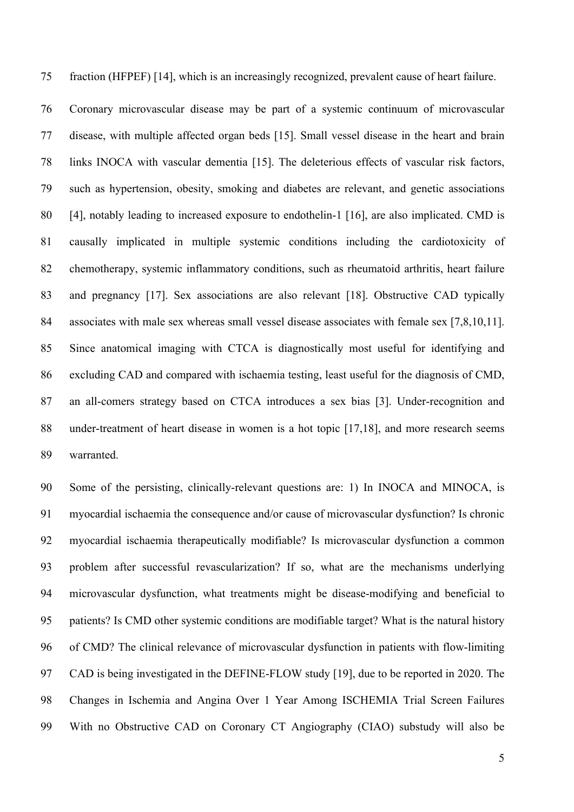fraction (HFPEF) [14], which is an increasingly recognized, prevalent cause of heart failure.

 Coronary microvascular disease may be part of a systemic continuum of microvascular disease, with multiple affected organ beds [15]. Small vessel disease in the heart and brain links INOCA with vascular dementia [15]. The deleterious effects of vascular risk factors, such as hypertension, obesity, smoking and diabetes are relevant, and genetic associations [4], notably leading to increased exposure to endothelin-1 [16], are also implicated. CMD is causally implicated in multiple systemic conditions including the cardiotoxicity of chemotherapy, systemic inflammatory conditions, such as rheumatoid arthritis, heart failure 83 and pregnancy [17]. Sex associations are also relevant [18]. Obstructive CAD typically associates with male sex whereas small vessel disease associates with female sex [7,8,10,11]. Since anatomical imaging with CTCA is diagnostically most useful for identifying and excluding CAD and compared with ischaemia testing, least useful for the diagnosis of CMD, an all-comers strategy based on CTCA introduces a sex bias [3]. Under-recognition and under-treatment of heart disease in women is a hot topic [17,18], and more research seems warranted.

 Some of the persisting, clinically-relevant questions are: 1) In INOCA and MINOCA, is myocardial ischaemia the consequence and/or cause of microvascular dysfunction? Is chronic myocardial ischaemia therapeutically modifiable? Is microvascular dysfunction a common problem after successful revascularization? If so, what are the mechanisms underlying microvascular dysfunction, what treatments might be disease-modifying and beneficial to patients? Is CMD other systemic conditions are modifiable target? What is the natural history of CMD? The clinical relevance of microvascular dysfunction in patients with flow-limiting CAD is being investigated in the DEFINE-FLOW study [19], due to be reported in 2020. The Changes in Ischemia and Angina Over 1 Year Among ISCHEMIA Trial Screen Failures With no Obstructive CAD on Coronary CT Angiography (CIAO) substudy will also be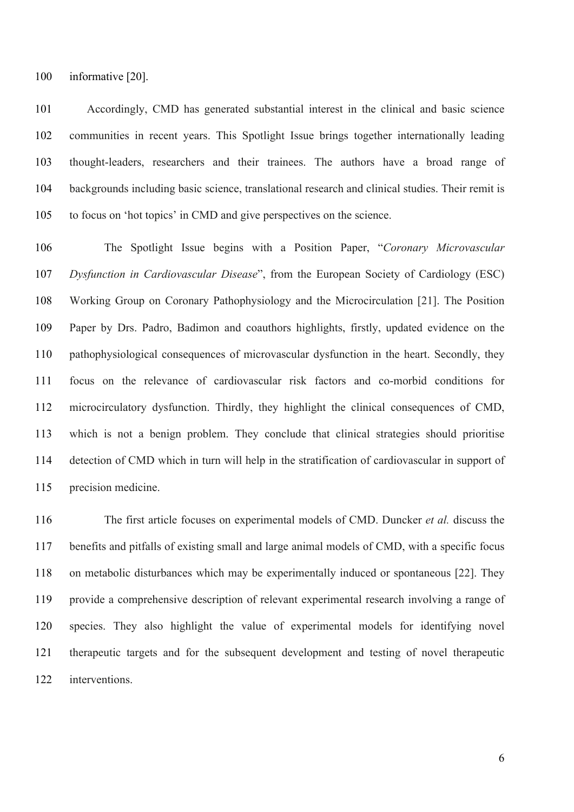informative [20].

 Accordingly, CMD has generated substantial interest in the clinical and basic science communities in recent years. This Spotlight Issue brings together internationally leading thought-leaders, researchers and their trainees. The authors have a broad range of backgrounds including basic science, translational research and clinical studies. Their remit is to focus on 'hot topics' in CMD and give perspectives on the science.

 The Spotlight Issue begins with a Position Paper, "*Coronary Microvascular Dysfunction in Cardiovascular Disease*", from the European Society of Cardiology (ESC) Working Group on Coronary Pathophysiology and the Microcirculation [21]. The Position Paper by Drs. Padro, Badimon and coauthors highlights, firstly, updated evidence on the pathophysiological consequences of microvascular dysfunction in the heart. Secondly, they focus on the relevance of cardiovascular risk factors and co-morbid conditions for microcirculatory dysfunction. Thirdly, they highlight the clinical consequences of CMD, which is not a benign problem. They conclude that clinical strategies should prioritise detection of CMD which in turn will help in the stratification of cardiovascular in support of precision medicine.

 The first article focuses on experimental models of CMD. Duncker *et al.* discuss the benefits and pitfalls of existing small and large animal models of CMD, with a specific focus on metabolic disturbances which may be experimentally induced or spontaneous [22]. They provide a comprehensive description of relevant experimental research involving a range of species. They also highlight the value of experimental models for identifying novel therapeutic targets and for the subsequent development and testing of novel therapeutic interventions.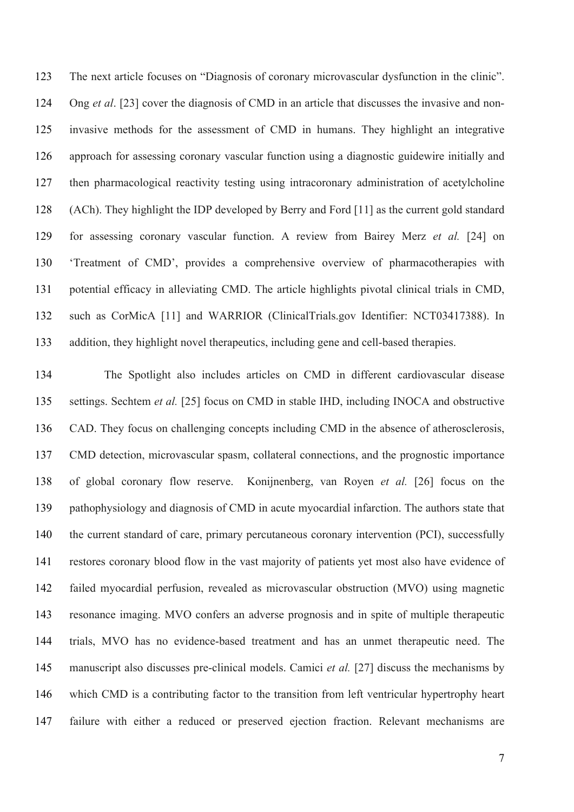The next article focuses on "Diagnosis of coronary microvascular dysfunction in the clinic". Ong *et al*. [23] cover the diagnosis of CMD in an article that discusses the invasive and non- invasive methods for the assessment of CMD in humans. They highlight an integrative approach for assessing coronary vascular function using a diagnostic guidewire initially and then pharmacological reactivity testing using intracoronary administration of acetylcholine (ACh). They highlight the IDP developed by Berry and Ford [11] as the current gold standard for assessing coronary vascular function. A review from Bairey Merz *et al.* [24] on 'Treatment of CMD', provides a comprehensive overview of pharmacotherapies with potential efficacy in alleviating CMD. The article highlights pivotal clinical trials in CMD, such as CorMicA [11] and WARRIOR (ClinicalTrials.gov Identifier: NCT03417388). In addition, they highlight novel therapeutics, including gene and cell-based therapies.

 The Spotlight also includes articles on CMD in different cardiovascular disease settings. Sechtem *et al.* [25] focus on CMD in stable IHD, including INOCA and obstructive CAD. They focus on challenging concepts including CMD in the absence of atherosclerosis, CMD detection, microvascular spasm, collateral connections, and the prognostic importance of global coronary flow reserve. Konijnenberg, van Royen *et al.* [26] focus on the pathophysiology and diagnosis of CMD in acute myocardial infarction. The authors state that the current standard of care, primary percutaneous coronary intervention (PCI), successfully restores coronary blood flow in the vast majority of patients yet most also have evidence of failed myocardial perfusion, revealed as microvascular obstruction (MVO) using magnetic resonance imaging. MVO confers an adverse prognosis and in spite of multiple therapeutic trials, MVO has no evidence-based treatment and has an unmet therapeutic need. The manuscript also discusses pre-clinical models. Camici *et al.* [27] discuss the mechanisms by which CMD is a contributing factor to the transition from left ventricular hypertrophy heart failure with either a reduced or preserved ejection fraction. Relevant mechanisms are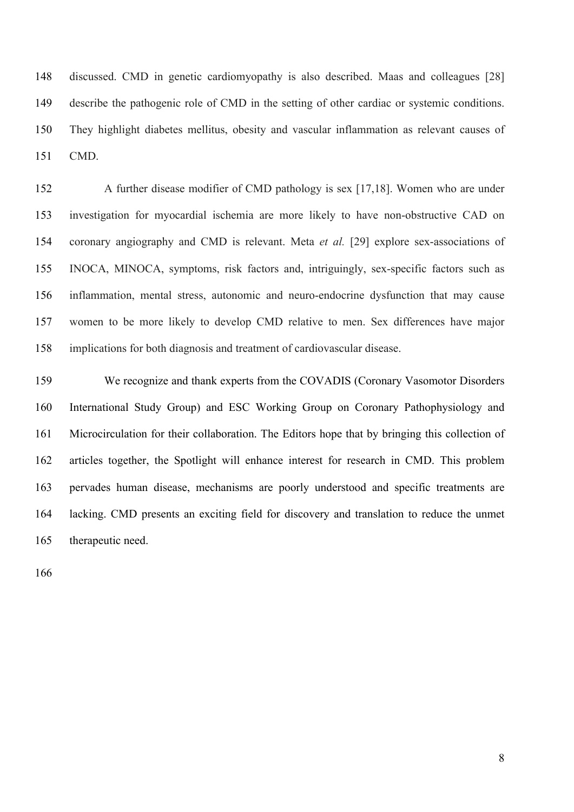discussed. CMD in genetic cardiomyopathy is also described. Maas and colleagues [28] describe the pathogenic role of CMD in the setting of other cardiac or systemic conditions. They highlight diabetes mellitus, obesity and vascular inflammation as relevant causes of CMD.

 A further disease modifier of CMD pathology is sex [17,18]. Women who are under investigation for myocardial ischemia are more likely to have non-obstructive CAD on coronary angiography and CMD is relevant. Meta *et al.* [29] explore sex-associations of INOCA, MINOCA, symptoms, risk factors and, intriguingly, sex-specific factors such as inflammation, mental stress, autonomic and neuro-endocrine dysfunction that may cause women to be more likely to develop CMD relative to men. Sex differences have major implications for both diagnosis and treatment of cardiovascular disease.

 We recognize and thank experts from the COVADIS (Coronary Vasomotor Disorders International Study Group) and ESC Working Group on Coronary Pathophysiology and Microcirculation for their collaboration. The Editors hope that by bringing this collection of articles together, the Spotlight will enhance interest for research in CMD. This problem pervades human disease, mechanisms are poorly understood and specific treatments are lacking. CMD presents an exciting field for discovery and translation to reduce the unmet therapeutic need.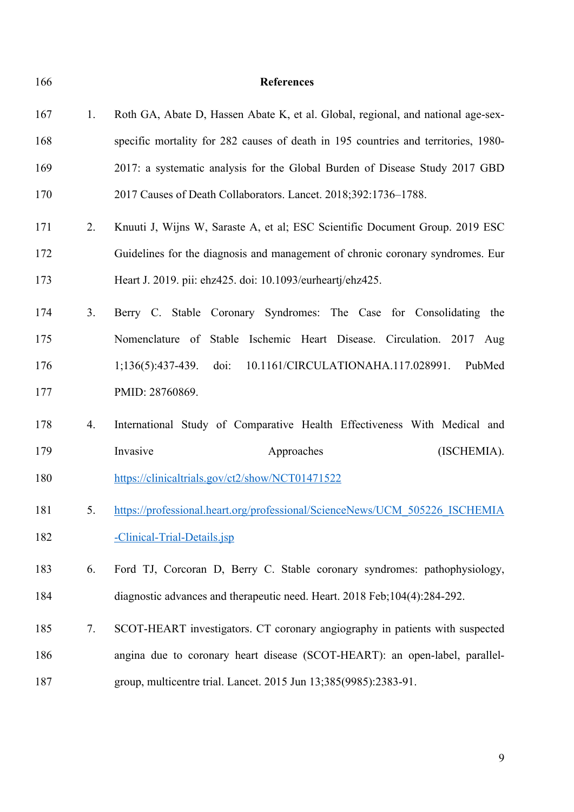**References** 1. Roth GA, Abate D, Hassen Abate K, et al. Global, regional, and national age-sex- specific mortality for 282 causes of death in 195 countries and territories, 1980- 2017: a systematic analysis for the Global Burden of Disease Study 2017 GBD 2017 Causes of Death Collaborators. Lancet. 2018;392:1736–1788. 2. Knuuti J, Wijns W, Saraste A, et al; ESC Scientific Document Group. 2019 ESC Guidelines for the diagnosis and management of chronic coronary syndromes. Eur Heart J. 2019. pii: ehz425. doi: 10.1093/eurheartj/ehz425. 3. Berry C. Stable Coronary Syndromes: The Case for Consolidating the Nomenclature of Stable Ischemic Heart Disease. Circulation. 2017 Aug 1;136(5):437-439. doi: 10.1161/CIRCULATIONAHA.117.028991. PubMed PMID: 28760869. 4. International Study of Comparative Health Effectiveness With Medical and 179 Invasive Approaches (ISCHEMIA). https://clinicaltrials.gov/ct2/show/NCT01471522 181 5. https://professional.heart.org/professional/ScienceNews/UCM\_505226\_ISCHEMIA -Clinical-Trial-Details.jsp 6. Ford TJ, Corcoran D, Berry C. Stable coronary syndromes: pathophysiology, diagnostic advances and therapeutic need. Heart. 2018 Feb;104(4):284-292. 7. SCOT-HEART investigators. CT coronary angiography in patients with suspected angina due to coronary heart disease (SCOT-HEART): an open-label, parallel-group, multicentre trial. Lancet. 2015 Jun 13;385(9985):2383-91.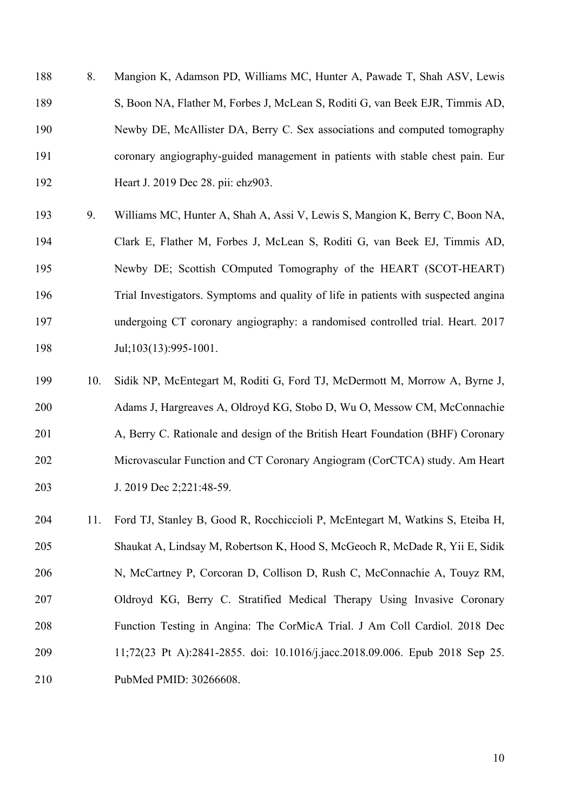8. Mangion K, Adamson PD, Williams MC, Hunter A, Pawade T, Shah ASV, Lewis S, Boon NA, Flather M, Forbes J, McLean S, Roditi G, van Beek EJR, Timmis AD, Newby DE, McAllister DA, Berry C. Sex associations and computed tomography coronary angiography-guided management in patients with stable chest pain. Eur Heart J. 2019 Dec 28. pii: ehz903.

- 9. Williams MC, Hunter A, Shah A, Assi V, Lewis S, Mangion K, Berry C, Boon NA, Clark E, Flather M, Forbes J, McLean S, Roditi G, van Beek EJ, Timmis AD, Newby DE; Scottish COmputed Tomography of the HEART (SCOT-HEART) Trial Investigators. Symptoms and quality of life in patients with suspected angina undergoing CT coronary angiography: a randomised controlled trial. Heart. 2017 198 Jul;103(13):995-1001.
- 10. Sidik NP, McEntegart M, Roditi G, Ford TJ, McDermott M, Morrow A, Byrne J, Adams J, Hargreaves A, Oldroyd KG, Stobo D, Wu O, Messow CM, McConnachie A, Berry C. Rationale and design of the British Heart Foundation (BHF) Coronary Microvascular Function and CT Coronary Angiogram (CorCTCA) study. Am Heart J. 2019 Dec 2;221:48-59.
- 11. Ford TJ, Stanley B, Good R, Rocchiccioli P, McEntegart M, Watkins S, Eteiba H, Shaukat A, Lindsay M, Robertson K, Hood S, McGeoch R, McDade R, Yii E, Sidik N, McCartney P, Corcoran D, Collison D, Rush C, McConnachie A, Touyz RM, Oldroyd KG, Berry C. Stratified Medical Therapy Using Invasive Coronary Function Testing in Angina: The CorMicA Trial. J Am Coll Cardiol. 2018 Dec 11;72(23 Pt A):2841-2855. doi: 10.1016/j.jacc.2018.09.006. Epub 2018 Sep 25. PubMed PMID: 30266608.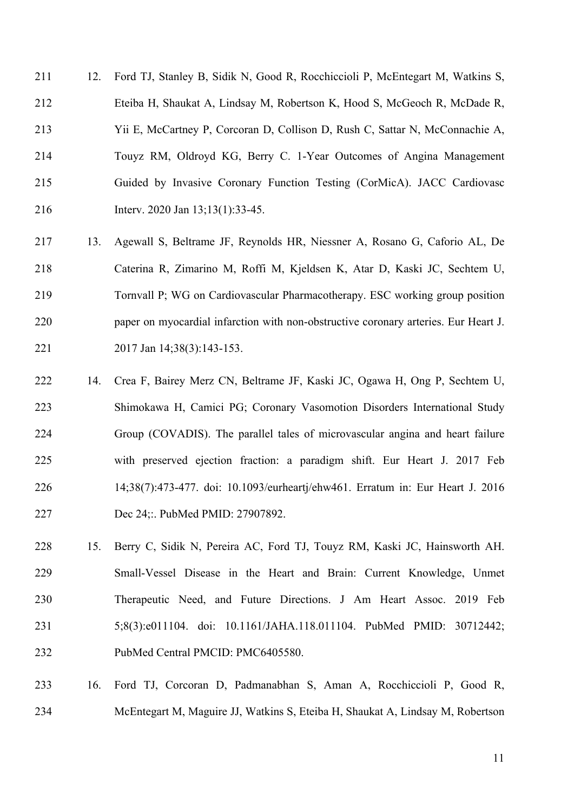12. Ford TJ, Stanley B, Sidik N, Good R, Rocchiccioli P, McEntegart M, Watkins S, Eteiba H, Shaukat A, Lindsay M, Robertson K, Hood S, McGeoch R, McDade R, Yii E, McCartney P, Corcoran D, Collison D, Rush C, Sattar N, McConnachie A, Touyz RM, Oldroyd KG, Berry C. 1-Year Outcomes of Angina Management Guided by Invasive Coronary Function Testing (CorMicA). JACC Cardiovasc Interv. 2020 Jan 13;13(1):33-45.

- 13. Agewall S, Beltrame JF, Reynolds HR, Niessner A, Rosano G, Caforio AL, De Caterina R, Zimarino M, Roffi M, Kjeldsen K, Atar D, Kaski JC, Sechtem U, Tornvall P; WG on Cardiovascular Pharmacotherapy. ESC working group position paper on myocardial infarction with non-obstructive coronary arteries. Eur Heart J. 221 2017 Jan 14;38(3):143-153.
- 14. Crea F, Bairey Merz CN, Beltrame JF, Kaski JC, Ogawa H, Ong P, Sechtem U, Shimokawa H, Camici PG; Coronary Vasomotion Disorders International Study Group (COVADIS). The parallel tales of microvascular angina and heart failure with preserved ejection fraction: a paradigm shift. Eur Heart J. 2017 Feb 14;38(7):473-477. doi: 10.1093/eurheartj/ehw461. Erratum in: Eur Heart J. 2016 Dec 24;:. PubMed PMID: 27907892.
- 15. Berry C, Sidik N, Pereira AC, Ford TJ, Touyz RM, Kaski JC, Hainsworth AH. Small-Vessel Disease in the Heart and Brain: Current Knowledge, Unmet Therapeutic Need, and Future Directions. J Am Heart Assoc. 2019 Feb 5;8(3):e011104. doi: 10.1161/JAHA.118.011104. PubMed PMID: 30712442; PubMed Central PMCID: PMC6405580.
- 16. Ford TJ, Corcoran D, Padmanabhan S, Aman A, Rocchiccioli P, Good R, McEntegart M, Maguire JJ, Watkins S, Eteiba H, Shaukat A, Lindsay M, Robertson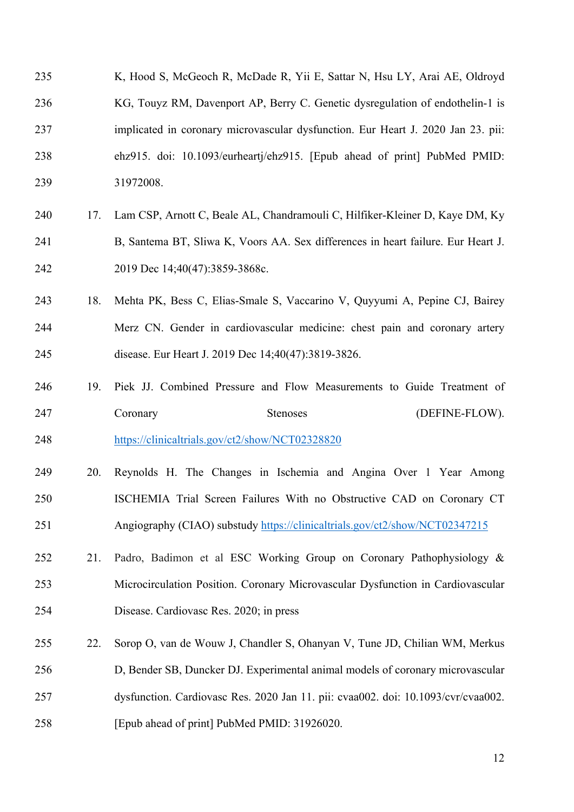- 235 K, Hood S, McGeoch R, McDade R, Yii E, Sattar N, Hsu LY, Arai AE, Oldroyd KG, Touyz RM, Davenport AP, Berry C. Genetic dysregulation of endothelin-1 is implicated in coronary microvascular dysfunction. Eur Heart J. 2020 Jan 23. pii: ehz915. doi: 10.1093/eurheartj/ehz915. [Epub ahead of print] PubMed PMID: 31972008.
- 17. Lam CSP, Arnott C, Beale AL, Chandramouli C, Hilfiker-Kleiner D, Kaye DM, Ky B, Santema BT, Sliwa K, Voors AA. Sex differences in heart failure. Eur Heart J. 242 2019 Dec 14;40(47):3859-3868c.
- 18. Mehta PK, Bess C, Elias-Smale S, Vaccarino V, Quyyumi A, Pepine CJ, Bairey Merz CN. Gender in cardiovascular medicine: chest pain and coronary artery disease. Eur Heart J. 2019 Dec 14;40(47):3819-3826.
- 19. Piek JJ. Combined Pressure and Flow Measurements to Guide Treatment of 247 Coronary Stenoses (DEFINE-FLOW).
- https://clinicaltrials.gov/ct2/show/NCT02328820
- 20. Reynolds H. The Changes in Ischemia and Angina Over 1 Year Among ISCHEMIA Trial Screen Failures With no Obstructive CAD on Coronary CT Angiography (CIAO) substudy https://clinicaltrials.gov/ct2/show/NCT02347215
- 21. Padro, Badimon et al ESC Working Group on Coronary Pathophysiology & Microcirculation Position. Coronary Microvascular Dysfunction in Cardiovascular Disease. Cardiovasc Res. 2020; in press
- 22. Sorop O, van de Wouw J, Chandler S, Ohanyan V, Tune JD, Chilian WM, Merkus D, Bender SB, Duncker DJ. Experimental animal models of coronary microvascular dysfunction. Cardiovasc Res. 2020 Jan 11. pii: cvaa002. doi: 10.1093/cvr/cvaa002. [Epub ahead of print] PubMed PMID: 31926020.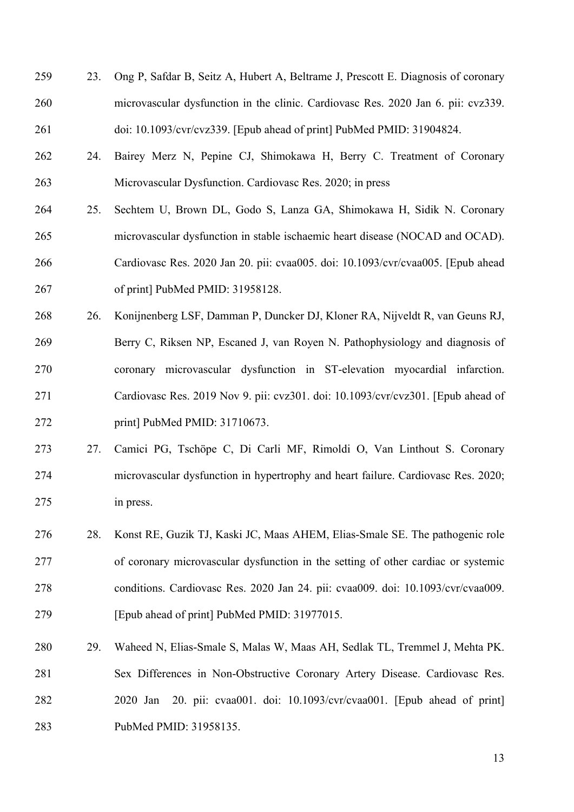- 23. Ong P, Safdar B, Seitz A, Hubert A, Beltrame J, Prescott E. Diagnosis of coronary microvascular dysfunction in the clinic. Cardiovasc Res. 2020 Jan 6. pii: cvz339. doi: 10.1093/cvr/cvz339. [Epub ahead of print] PubMed PMID: 31904824.
- 24. Bairey Merz N, Pepine CJ, Shimokawa H, Berry C. Treatment of Coronary Microvascular Dysfunction. Cardiovasc Res. 2020; in press
- 25. Sechtem U, Brown DL, Godo S, Lanza GA, Shimokawa H, Sidik N. Coronary microvascular dysfunction in stable ischaemic heart disease (NOCAD and OCAD). Cardiovasc Res. 2020 Jan 20. pii: cvaa005. doi: 10.1093/cvr/cvaa005. [Epub ahead of print] PubMed PMID: 31958128.
- 26. Konijnenberg LSF, Damman P, Duncker DJ, Kloner RA, Nijveldt R, van Geuns RJ, Berry C, Riksen NP, Escaned J, van Royen N. Pathophysiology and diagnosis of coronary microvascular dysfunction in ST-elevation myocardial infarction. Cardiovasc Res. 2019 Nov 9. pii: cvz301. doi: 10.1093/cvr/cvz301. [Epub ahead of print] PubMed PMID: 31710673.
- 27. Camici PG, Tschöpe C, Di Carli MF, Rimoldi O, Van Linthout S. Coronary microvascular dysfunction in hypertrophy and heart failure. Cardiovasc Res. 2020; in press.
- 28. Konst RE, Guzik TJ, Kaski JC, Maas AHEM, Elias-Smale SE. The pathogenic role of coronary microvascular dysfunction in the setting of other cardiac or systemic conditions. Cardiovasc Res. 2020 Jan 24. pii: cvaa009. doi: 10.1093/cvr/cvaa009. [Epub ahead of print] PubMed PMID: 31977015.
- 29. Waheed N, Elias-Smale S, Malas W, Maas AH, Sedlak TL, Tremmel J, Mehta PK. Sex Differences in Non-Obstructive Coronary Artery Disease. Cardiovasc Res. 2020 Jan 20. pii: cvaa001. doi: 10.1093/cvr/cvaa001. [Epub ahead of print] PubMed PMID: 31958135.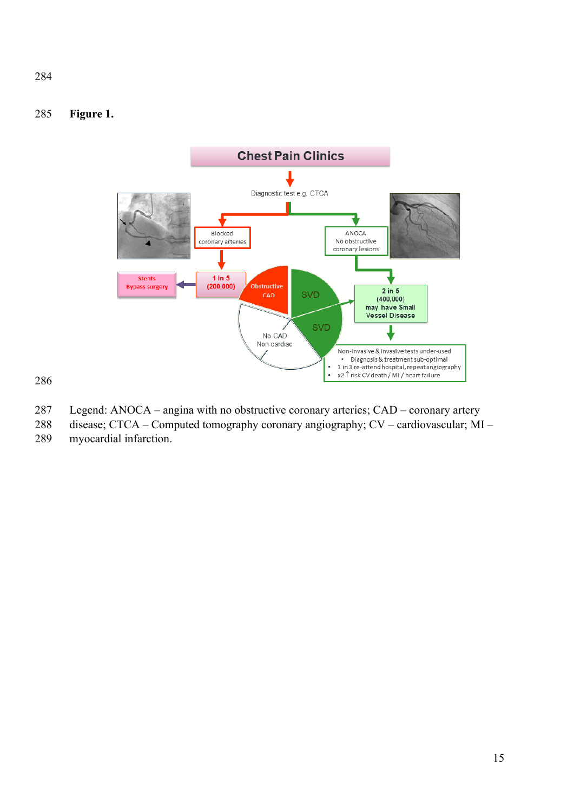## **Figure 1.**



- Legend: ANOCA angina with no obstructive coronary arteries; CAD coronary artery
- disease; CTCA Computed tomography coronary angiography; CV cardiovascular; MI myocardial infarction.